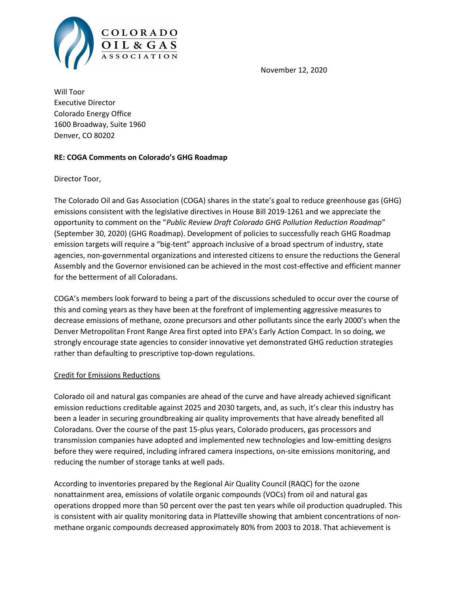

November 12, 2020

Will Toor Executive Director Colorado Energy Office 1600 Broadway, Suite 1960 Denver, CO 80202

### RE: COGA Comments on Colorado's GHG Roadmap

Director Toor,

The Colorado Oil and Gas Association (COGA) shares in the state's goal to reduce greenhouse gas (GHG) emissions consistent with the legislative directives in House Bill 2019-1261 and we appreciate the opportunity to comment on the "Public Review Draft Colorado GHG Pollution Reduction Roadmap" (September 30, 2020) (GHG Roadmap). Development of policies to successfully reach GHG Roadmap emission targets will require a "big-tent" approach inclusive of a broad spectrum of industry, state agencies, non-governmental organizations and interested citizens to ensure the reductions the General Assembly and the Governor envisioned can be achieved in the most cost-effective and efficient manner for the betterment of all Coloradans.

COGA's members look forward to being a part of the discussions scheduled to occur over the course of this and coming years as they have been at the forefront of implementing aggressive measures to decrease emissions of methane, ozone precursors and other pollutants since the early 2000's when the Denver Metropolitan Front Range Area first opted into EPA's Early Action Compact. In so doing, we strongly encourage state agencies to consider innovative yet demonstrated GHG reduction strategies rather than defaulting to prescriptive top-down regulations.

### Credit for Emissions Reductions

Colorado oil and natural gas companies are ahead of the curve and have already achieved significant emission reductions creditable against 2025 and 2030 targets, and, as such, it's clear this industry has been a leader in securing groundbreaking air quality improvements that have already benefited all Coloradans. Over the course of the past 15-plus years, Colorado producers, gas processors and transmission companies have adopted and implemented new technologies and low-emitting designs before they were required, including infrared camera inspections, on-site emissions monitoring, and reducing the number of storage tanks at well pads.

According to inventories prepared by the Regional Air Quality Council (RAQC) for the ozone nonattainment area, emissions of volatile organic compounds (VOCs) from oil and natural gas operations dropped more than 50 percent over the past ten years while oil production quadrupled. This is consistent with air quality monitoring data in Platteville showing that ambient concentrations of nonmethane organic compounds decreased approximately 80% from 2003 to 2018. That achievement is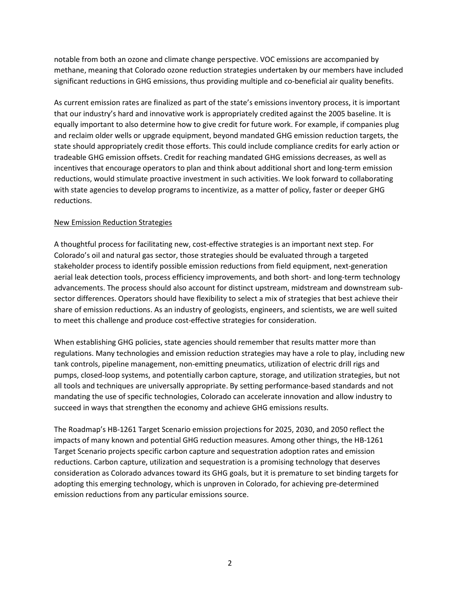notable from both an ozone and climate change perspective. VOC emissions are accompanied by methane, meaning that Colorado ozone reduction strategies undertaken by our members have included significant reductions in GHG emissions, thus providing multiple and co-beneficial air quality benefits.

As current emission rates are finalized as part of the state's emissions inventory process, it is important that our industry's hard and innovative work is appropriately credited against the 2005 baseline. It is equally important to also determine how to give credit for future work. For example, if companies plug and reclaim older wells or upgrade equipment, beyond mandated GHG emission reduction targets, the state should appropriately credit those efforts. This could include compliance credits for early action or tradeable GHG emission offsets. Credit for reaching mandated GHG emissions decreases, as well as incentives that encourage operators to plan and think about additional short and long-term emission reductions, would stimulate proactive investment in such activities. We look forward to collaborating with state agencies to develop programs to incentivize, as a matter of policy, faster or deeper GHG reductions.

### New Emission Reduction Strategies

A thoughtful process for facilitating new, cost-effective strategies is an important next step. For Colorado's oil and natural gas sector, those strategies should be evaluated through a targeted stakeholder process to identify possible emission reductions from field equipment, next-generation aerial leak detection tools, process efficiency improvements, and both short- and long-term technology advancements. The process should also account for distinct upstream, midstream and downstream subsector differences. Operators should have flexibility to select a mix of strategies that best achieve their share of emission reductions. As an industry of geologists, engineers, and scientists, we are well suited to meet this challenge and produce cost-effective strategies for consideration.

When establishing GHG policies, state agencies should remember that results matter more than regulations. Many technologies and emission reduction strategies may have a role to play, including new tank controls, pipeline management, non-emitting pneumatics, utilization of electric drill rigs and pumps, closed-loop systems, and potentially carbon capture, storage, and utilization strategies, but not all tools and techniques are universally appropriate. By setting performance-based standards and not mandating the use of specific technologies, Colorado can accelerate innovation and allow industry to succeed in ways that strengthen the economy and achieve GHG emissions results.

The Roadmap's HB-1261 Target Scenario emission projections for 2025, 2030, and 2050 reflect the impacts of many known and potential GHG reduction measures. Among other things, the HB-1261 Target Scenario projects specific carbon capture and sequestration adoption rates and emission reductions. Carbon capture, utilization and sequestration is a promising technology that deserves consideration as Colorado advances toward its GHG goals, but it is premature to set binding targets for adopting this emerging technology, which is unproven in Colorado, for achieving pre-determined emission reductions from any particular emissions source.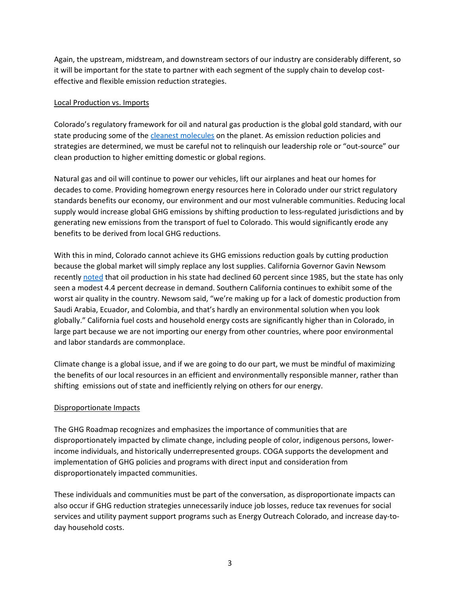Again, the upstream, midstream, and downstream sectors of our industry are considerably different, so it will be important for the state to partner with each segment of the supply chain to develop costeffective and flexible emission reduction strategies.

## Local Production vs. Imports

Colorado's regulatory framework for oil and natural gas production is the global gold standard, with our state producing some of the [cleanest molecules](https://www.coga.org/factsheets/colorado-molecule) on the planet. As emission reduction policies and strategies are determined, we must be careful not to relinquish our leadership role or "out-source" our clean production to higher emitting domestic or global regions.

Natural gas and oil will continue to power our vehicles, lift our airplanes and heat our homes for decades to come. Providing homegrown energy resources here in Colorado under our strict regulatory standards benefits our economy, our environment and our most vulnerable communities. Reducing local supply would increase global GHG emissions by shifting production to less-regulated jurisdictions and by generating new emissions from the transport of fuel to Colorado. This would significantly erode any benefits to be derived from local GHG reductions.

With this in mind, Colorado cannot achieve its GHG emissions reduction goals by cutting production because the global market will simply replace any lost supplies. California Governor Gavin Newsom recently [noted](https://westernwire.net/california-governor-says-foreign-oil-imports-fill-gap-created-by-green-energy/) that oil production in his state had declined 60 percent since 1985, but the state has only seen a modest 4.4 percent decrease in demand. Southern California continues to exhibit some of the worst air quality in the country. Newsom said, "we're making up for a lack of domestic production from Saudi Arabia, Ecuador, and Colombia, and that's hardly an environmental solution when you look globally." California fuel costs and household energy costs are significantly higher than in Colorado, in large part because we are not importing our energy from other countries, where poor environmental and labor standards are commonplace.

Climate change is a global issue, and if we are going to do our part, we must be mindful of maximizing the benefits of our local resources in an efficient and environmentally responsible manner, rather than shifting emissions out of state and inefficiently relying on others for our energy.

# Disproportionate Impacts

The GHG Roadmap recognizes and emphasizes the importance of communities that are disproportionately impacted by climate change, including people of color, indigenous persons, lowerincome individuals, and historically underrepresented groups. COGA supports the development and implementation of GHG policies and programs with direct input and consideration from disproportionately impacted communities.

These individuals and communities must be part of the conversation, as disproportionate impacts can also occur if GHG reduction strategies unnecessarily induce job losses, reduce tax revenues for social services and utility payment support programs such as Energy Outreach Colorado, and increase day-today household costs.